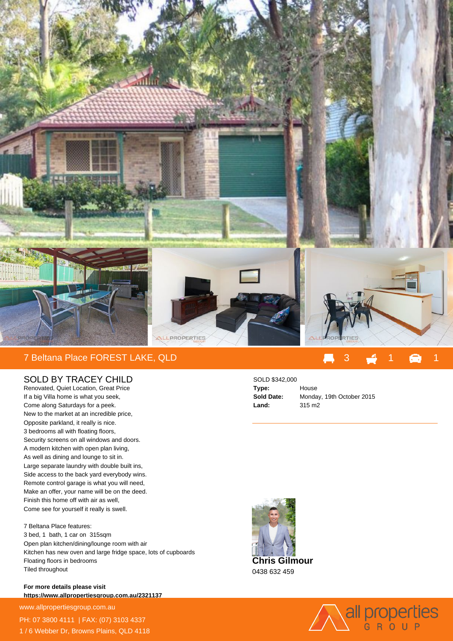

## 7 Beltana Place FOREST LAKE, QLD

## SOLD BY TRACEY CHILD

Renovated, Quiet Location, Great Price If a big Villa home is what you seek, Come along Saturdays for a peek. New to the market at an incredible price, Opposite parkland, it really is nice. 3 bedrooms all with floating floors, Security screens on all windows and doors. A modern kitchen with open plan living, As well as dining and lounge to sit in. Large separate laundry with double built ins, Side access to the back yard everybody wins. Remote control garage is what you will need, Make an offer, your name will be on the deed. Finish this home off with air as well, Come see for yourself it really is swell.

7 Beltana Place features: 3 bed, 1 bath, 1 car on 315sqm Open plan kitchen/dining/lounge room with air Kitchen has new oven and large fridge space, lots of cupboards Floating floors in bedrooms Tiled throughout

**For more details please visit https://www.allpropertiesgroup.com.au/2321137**

www.allpropertiesgroup.com.au PH: 07 3800 4111 | FAX: (07) 3103 4337 1 / 6 Webber Dr, Browns Plains, QLD 4118